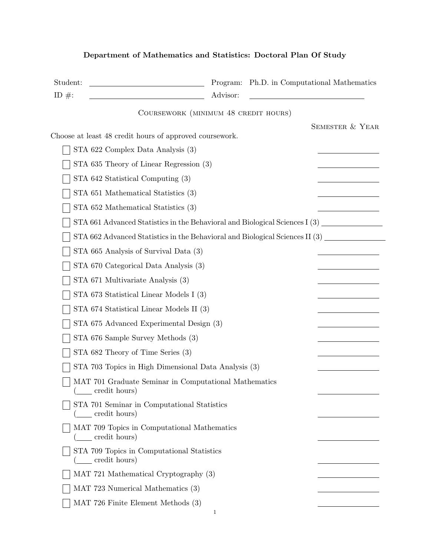| Student:  | Ph.D. in Computational Mathematics<br>Program:                                        |
|-----------|---------------------------------------------------------------------------------------|
| ID $\#$ : | Advisor:                                                                              |
|           | COURSEWORK (MINIMUM 48 CREDIT HOURS)                                                  |
|           | <b>SEMESTER &amp; YEAR</b><br>Choose at least 48 credit hours of approved coursework. |
|           | STA 622 Complex Data Analysis (3)                                                     |
|           |                                                                                       |
|           | STA 635 Theory of Linear Regression (3)                                               |
|           | STA 642 Statistical Computing (3)                                                     |
|           | STA 651 Mathematical Statistics (3)                                                   |
|           | STA 652 Mathematical Statistics (3)                                                   |
|           | STA 661 Advanced Statistics in the Behavioral and Biological Sciences I (3)           |
|           | STA 662 Advanced Statistics in the Behavioral and Biological Sciences II (3)          |
|           | STA 665 Analysis of Survival Data (3)                                                 |
|           | STA 670 Categorical Data Analysis (3)                                                 |
|           | STA 671 Multivariate Analysis (3)                                                     |
|           | STA 673 Statistical Linear Models I (3)                                               |
|           | STA 674 Statistical Linear Models II (3)                                              |
|           | STA 675 Advanced Experimental Design (3)                                              |
|           | STA 676 Sample Survey Methods (3)                                                     |
|           | STA 682 Theory of Time Series (3)                                                     |
|           | STA 703 Topics in High Dimensional Data Analysis (3)                                  |
|           | MAT 701 Graduate Seminar in Computational Mathematics<br>_ credit hours)              |
|           | STA 701 Seminar in Computational Statistics<br>( <u>credit</u> hours)                 |
|           | MAT 709 Topics in Computational Mathematics<br>( <u>come</u> credit hours)            |
|           | STA 709 Topics in Computational Statistics<br>(___ credit hours)                      |
|           | MAT 721 Mathematical Cryptography (3)                                                 |
|           | MAT 723 Numerical Mathematics (3)                                                     |
|           | MAT 726 Finite Element Methods (3)                                                    |
|           | 1                                                                                     |

## Department of Mathematics and Statistics: Doctoral Plan Of Study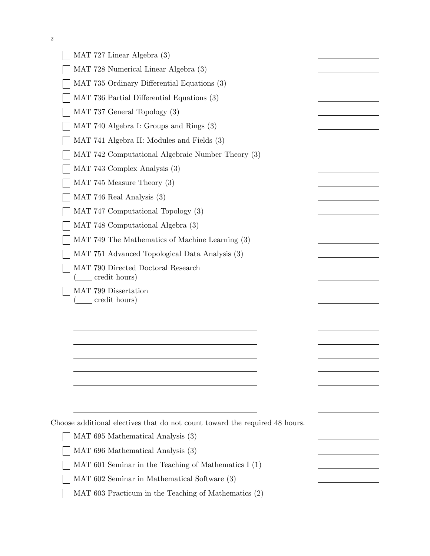|  |  | S |
|--|--|---|
|  |  |   |

| MAT 727 Linear Algebra (3)                                                  |  |
|-----------------------------------------------------------------------------|--|
| MAT 728 Numerical Linear Algebra (3)                                        |  |
| MAT 735 Ordinary Differential Equations (3)                                 |  |
| MAT 736 Partial Differential Equations (3)                                  |  |
| MAT 737 General Topology (3)                                                |  |
| MAT 740 Algebra I: Groups and Rings (3)                                     |  |
| MAT 741 Algebra II: Modules and Fields (3)                                  |  |
| MAT 742 Computational Algebraic Number Theory (3)                           |  |
| MAT 743 Complex Analysis (3)                                                |  |
| MAT 745 Measure Theory (3)                                                  |  |
| MAT 746 Real Analysis (3)                                                   |  |
| MAT 747 Computational Topology (3)                                          |  |
| MAT 748 Computational Algebra (3)                                           |  |
| MAT 749 The Mathematics of Machine Learning (3)                             |  |
| MAT 751 Advanced Topological Data Analysis (3)                              |  |
| MAT 790 Directed Doctoral Research<br>credit hours)                         |  |
| MAT 799 Dissertation<br>_ credit hours)                                     |  |
|                                                                             |  |
|                                                                             |  |
|                                                                             |  |
|                                                                             |  |
|                                                                             |  |
|                                                                             |  |
|                                                                             |  |
| Choose additional electives that do not count toward the required 48 hours. |  |
| MAT 695 Mathematical Analysis (3)                                           |  |
| MAT 696 Mathematical Analysis (3)                                           |  |
| MAT 601 Seminar in the Teaching of Mathematics I $(1)$                      |  |
| MAT 602 Seminar in Mathematical Software (3)                                |  |
| MAT 603 Practicum in the Teaching of Mathematics (2)                        |  |